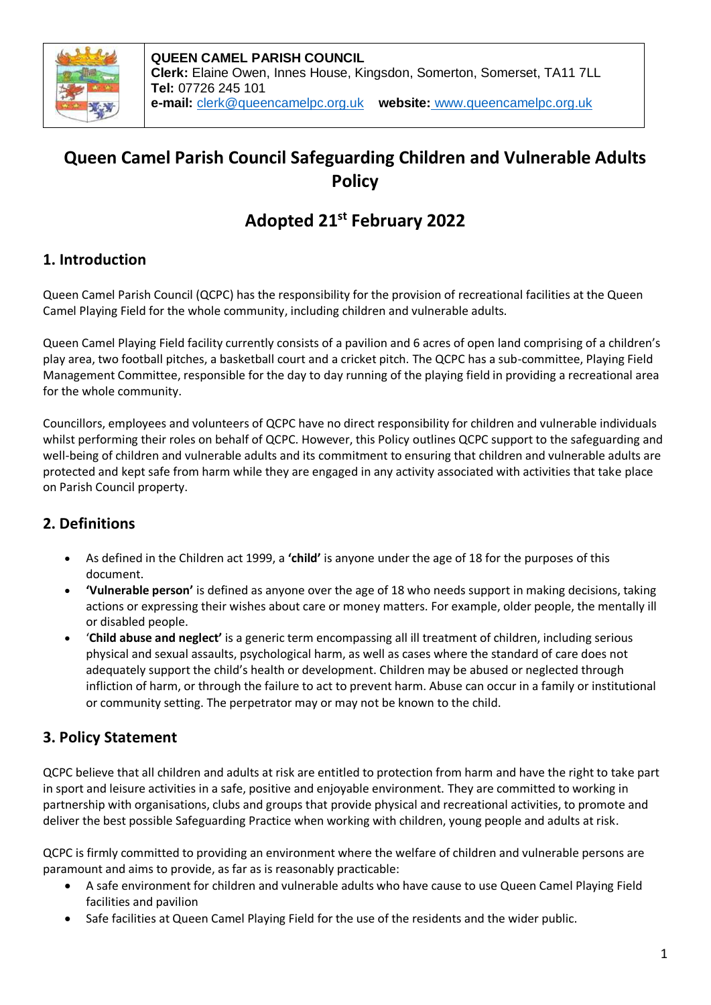

# **Queen Camel Parish Council Safeguarding Children and Vulnerable Adults Policy**

# **Adopted 21st February 2022**

# **1. Introduction**

Queen Camel Parish Council (QCPC) has the responsibility for the provision of recreational facilities at the Queen Camel Playing Field for the whole community, including children and vulnerable adults.

Queen Camel Playing Field facility currently consists of a pavilion and 6 acres of open land comprising of a children's play area, two football pitches, a basketball court and a cricket pitch. The QCPC has a sub-committee, Playing Field Management Committee, responsible for the day to day running of the playing field in providing a recreational area for the whole community.

Councillors, employees and volunteers of QCPC have no direct responsibility for children and vulnerable individuals whilst performing their roles on behalf of QCPC. However, this Policy outlines QCPC support to the safeguarding and well-being of children and vulnerable adults and its commitment to ensuring that children and vulnerable adults are protected and kept safe from harm while they are engaged in any activity associated with activities that take place on Parish Council property.

# **2. Definitions**

- As defined in the Children act 1999, a **'child'** is anyone under the age of 18 for the purposes of this document.
- **'Vulnerable person'** is defined as anyone over the age of 18 who needs support in making decisions, taking actions or expressing their wishes about care or money matters. For example, older people, the mentally ill or disabled people.
- '**Child abuse and neglect'** is a generic term encompassing all ill treatment of children, including serious physical and sexual assaults, psychological harm, as well as cases where the standard of care does not adequately support the child's health or development. Children may be abused or neglected through infliction of harm, or through the failure to act to prevent harm. Abuse can occur in a family or institutional or community setting. The perpetrator may or may not be known to the child.

# **3. Policy Statement**

QCPC believe that all children and adults at risk are entitled to protection from harm and have the right to take part in sport and leisure activities in a safe, positive and enjoyable environment. They are committed to working in partnership with organisations, clubs and groups that provide physical and recreational activities, to promote and deliver the best possible Safeguarding Practice when working with children, young people and adults at risk.

QCPC is firmly committed to providing an environment where the welfare of children and vulnerable persons are paramount and aims to provide, as far as is reasonably practicable:

- A safe environment for children and vulnerable adults who have cause to use Queen Camel Playing Field facilities and pavilion
- Safe facilities at Queen Camel Playing Field for the use of the residents and the wider public.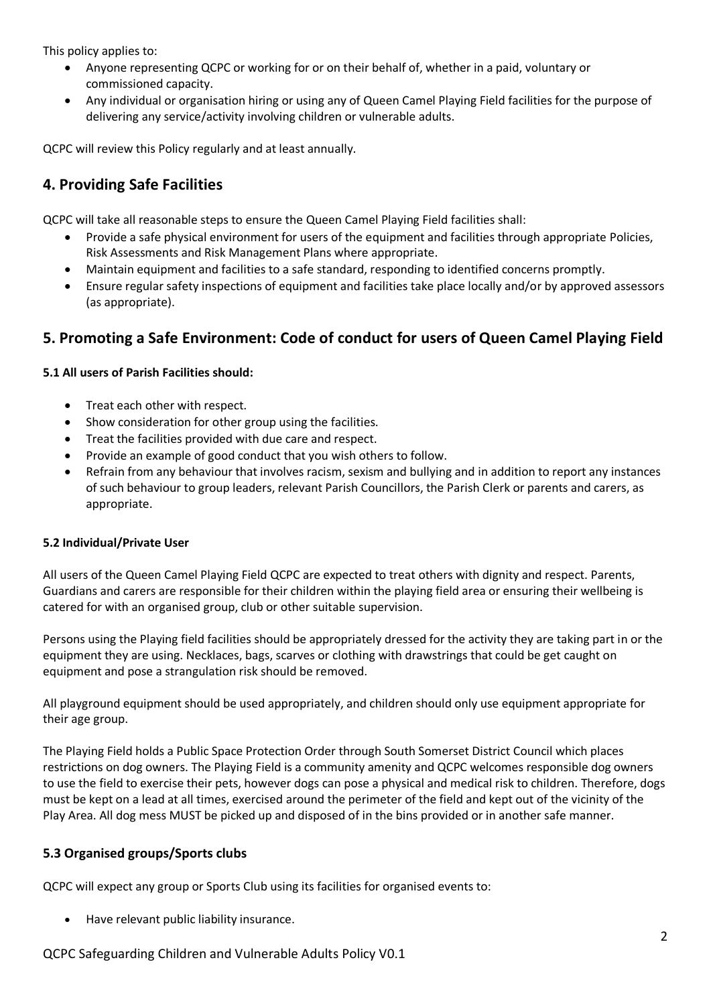This policy applies to:

- Anyone representing QCPC or working for or on their behalf of, whether in a paid, voluntary or commissioned capacity.
- Any individual or organisation hiring or using any of Queen Camel Playing Field facilities for the purpose of delivering any service/activity involving children or vulnerable adults.

QCPC will review this Policy regularly and at least annually.

## **4. Providing Safe Facilities**

QCPC will take all reasonable steps to ensure the Queen Camel Playing Field facilities shall:

- Provide a safe physical environment for users of the equipment and facilities through appropriate Policies, Risk Assessments and Risk Management Plans where appropriate.
- Maintain equipment and facilities to a safe standard, responding to identified concerns promptly.
- Ensure regular safety inspections of equipment and facilities take place locally and/or by approved assessors (as appropriate).

## **5. Promoting a Safe Environment: Code of conduct for users of Queen Camel Playing Field**

#### **5.1 All users of Parish Facilities should:**

- Treat each other with respect.
- Show consideration for other group using the facilities.
- Treat the facilities provided with due care and respect.
- Provide an example of good conduct that you wish others to follow.
- Refrain from any behaviour that involves racism, sexism and bullying and in addition to report any instances of such behaviour to group leaders, relevant Parish Councillors, the Parish Clerk or parents and carers, as appropriate.

#### **5.2 Individual/Private User**

All users of the Queen Camel Playing Field QCPC are expected to treat others with dignity and respect. Parents, Guardians and carers are responsible for their children within the playing field area or ensuring their wellbeing is catered for with an organised group, club or other suitable supervision.

Persons using the Playing field facilities should be appropriately dressed for the activity they are taking part in or the equipment they are using. Necklaces, bags, scarves or clothing with drawstrings that could be get caught on equipment and pose a strangulation risk should be removed.

All playground equipment should be used appropriately, and children should only use equipment appropriate for their age group.

The Playing Field holds a Public Space Protection Order through South Somerset District Council which places restrictions on dog owners. The Playing Field is a community amenity and QCPC welcomes responsible dog owners to use the field to exercise their pets, however dogs can pose a physical and medical risk to children. Therefore, dogs must be kept on a lead at all times, exercised around the perimeter of the field and kept out of the vicinity of the Play Area. All dog mess MUST be picked up and disposed of in the bins provided or in another safe manner.

### **5.3 Organised groups/Sports clubs**

QCPC will expect any group or Sports Club using its facilities for organised events to:

Have relevant public liability insurance.